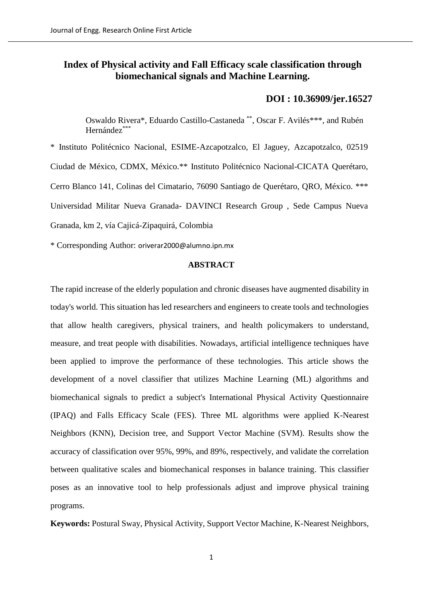# **Index of Physical activity and Fall Efficacy scale classification through biomechanical signals and Machine Learning.**

# **DOI : [10.36909/jer.16527](https://doi.org/10.36909/jer.16527)**

Oswaldo Rivera\*, Eduardo Castillo-Castaneda \*\*, Oscar F. Avilés\*\*\*, and Rubén Hernández<sup>\*\*</sup>

\* Instituto Politécnico Nacional, ESIME-Azcapotzalco, El Jaguey, Azcapotzalco, 02519 Ciudad de México, CDMX, México.\*\* Instituto Politécnico Nacional-CICATA Querétaro, Cerro Blanco 141, Colinas del Cimatario, 76090 Santiago de Querétaro, QRO, México. \*\*\* Universidad Militar Nueva Granada- DAVINCI Research Group , Sede Campus Nueva Granada, km 2, vía Cajicá-Zipaquirá, Colombia

\* Corresponding Author: oriverar2000@alumno.ipn.mx

# **ABSTRACT**

The rapid increase of the elderly population and chronic diseases have augmented disability in today's world. This situation has led researchers and engineers to create tools and technologies that allow health caregivers, physical trainers, and health policymakers to understand, measure, and treat people with disabilities. Nowadays, artificial intelligence techniques have been applied to improve the performance of these technologies. This article shows the development of a novel classifier that utilizes Machine Learning (ML) algorithms and biomechanical signals to predict a subject's International Physical Activity Questionnaire (IPAQ) and Falls Efficacy Scale (FES). Three ML algorithms were applied K-Nearest Neighbors (KNN), Decision tree, and Support Vector Machine (SVM). Results show the accuracy of classification over 95%, 99%, and 89%, respectively, and validate the correlation between qualitative scales and biomechanical responses in balance training. This classifier poses as an innovative tool to help professionals adjust and improve physical training programs.

**Keywords:** Postural Sway, Physical Activity, Support Vector Machine, K-Nearest Neighbors,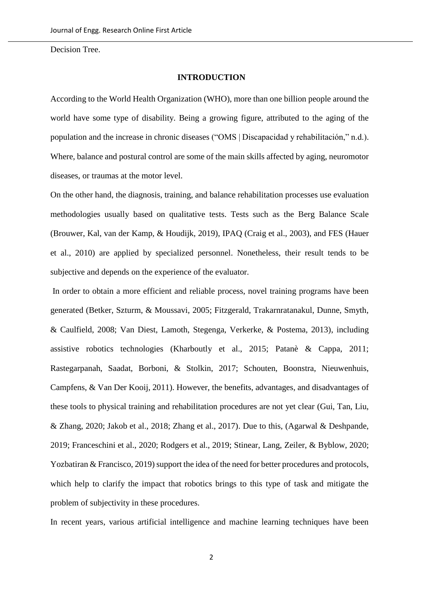Decision Tree.

#### **INTRODUCTION**

According to the World Health Organization (WHO), more than one billion people around the world have some type of disability. Being a growing figure, attributed to the aging of the population and the increase in chronic diseases ("OMS | Discapacidad y rehabilitación," n.d.). Where, balance and postural control are some of the main skills affected by aging, neuromotor diseases, or traumas at the motor level.

On the other hand, the diagnosis, training, and balance rehabilitation processes use evaluation methodologies usually based on qualitative tests. Tests such as the Berg Balance Scale (Brouwer, Kal, van der Kamp, & Houdijk, 2019), IPAQ (Craig et al., 2003), and FES (Hauer et al., 2010) are applied by specialized personnel. Nonetheless, their result tends to be subjective and depends on the experience of the evaluator.

In order to obtain a more efficient and reliable process, novel training programs have been generated (Betker, Szturm, & Moussavi, 2005; Fitzgerald, Trakarnratanakul, Dunne, Smyth, & Caulfield, 2008; Van Diest, Lamoth, Stegenga, Verkerke, & Postema, 2013), including assistive robotics technologies (Kharboutly et al., 2015; Patanè & Cappa, 2011; Rastegarpanah, Saadat, Borboni, & Stolkin, 2017; Schouten, Boonstra, Nieuwenhuis, Campfens, & Van Der Kooij, 2011). However, the benefits, advantages, and disadvantages of these tools to physical training and rehabilitation procedures are not yet clear (Gui, Tan, Liu, & Zhang, 2020; Jakob et al., 2018; Zhang et al., 2017). Due to this, (Agarwal & Deshpande, 2019; Franceschini et al., 2020; Rodgers et al., 2019; Stinear, Lang, Zeiler, & Byblow, 2020; Yozbatiran  $&$  Francisco, 2019) support the idea of the need for better procedures and protocols, which help to clarify the impact that robotics brings to this type of task and mitigate the problem of subjectivity in these procedures.

In recent years, various artificial intelligence and machine learning techniques have been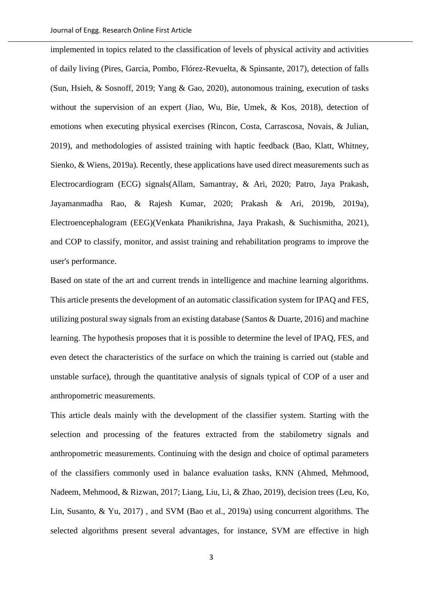implemented in topics related to the classification of levels of physical activity and activities of daily living (Pires, Garcia, Pombo, Flórez-Revuelta, & Spinsante, 2017), detection of falls (Sun, Hsieh, & Sosnoff, 2019; Yang & Gao, 2020), autonomous training, execution of tasks without the supervision of an expert (Jiao, Wu, Bie, Umek, & Kos, 2018), detection of emotions when executing physical exercises (Rincon, Costa, Carrascosa, Novais, & Julian, 2019), and methodologies of assisted training with haptic feedback (Bao, Klatt, Whitney, Sienko, & Wiens, 2019a). Recently, these applications have used direct measurements such as Electrocardiogram (ECG) signals(Allam, Samantray, & Ari, 2020; Patro, Jaya Prakash, Jayamanmadha Rao, & Rajesh Kumar, 2020; Prakash & Ari, 2019b, 2019a), Electroencephalogram (EEG)(Venkata Phanikrishna, Jaya Prakash, & Suchismitha, 2021), and COP to classify, monitor, and assist training and rehabilitation programs to improve the user's performance.

Based on state of the art and current trends in intelligence and machine learning algorithms. This article presents the development of an automatic classification system for IPAQ and FES, utilizing postural sway signals from an existing database (Santos & Duarte, 2016) and machine learning. The hypothesis proposes that it is possible to determine the level of IPAQ, FES, and even detect the characteristics of the surface on which the training is carried out (stable and unstable surface), through the quantitative analysis of signals typical of COP of a user and anthropometric measurements.

This article deals mainly with the development of the classifier system. Starting with the selection and processing of the features extracted from the stabilometry signals and anthropometric measurements. Continuing with the design and choice of optimal parameters of the classifiers commonly used in balance evaluation tasks, KNN (Ahmed, Mehmood, Nadeem, Mehmood, & Rizwan, 2017; Liang, Liu, Li, & Zhao, 2019), decision trees (Leu, Ko, Lin, Susanto, & Yu, 2017) , and SVM (Bao et al., 2019a) using concurrent algorithms. The selected algorithms present several advantages, for instance, SVM are effective in high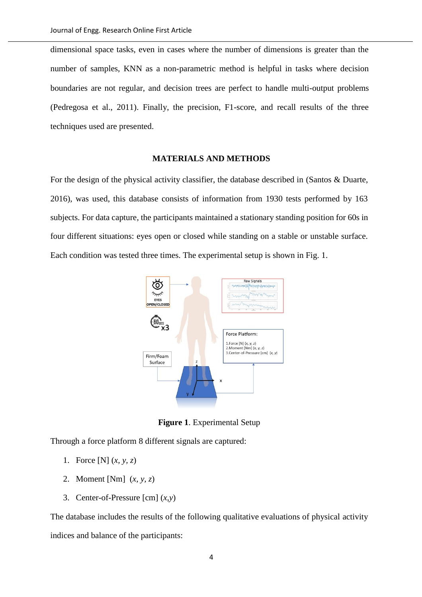dimensional space tasks, even in cases where the number of dimensions is greater than the number of samples, KNN as a non-parametric method is helpful in tasks where decision boundaries are not regular, and decision trees are perfect to handle multi-output problems (Pedregosa et al., 2011). Finally, the precision, F1-score, and recall results of the three techniques used are presented.

### **MATERIALS AND METHODS**

For the design of the physical activity classifier, the database described in (Santos & Duarte, 2016), was used, this database consists of information from 1930 tests performed by 163 subjects. For data capture, the participants maintained a stationary standing position for 60s in four different situations: eyes open or closed while standing on a stable or unstable surface. Each condition was tested three times. The experimental setup is shown in Fig. 1.



**Figure 1**. Experimental Setup

Through a force platform 8 different signals are captured:

- 1. Force [N] (*x, y, z*)
- 2. Moment [Nm] (*x, y, z*)
- 3. Center-of-Pressure [cm] (*x,y*)

The database includes the results of the following qualitative evaluations of physical activity indices and balance of the participants: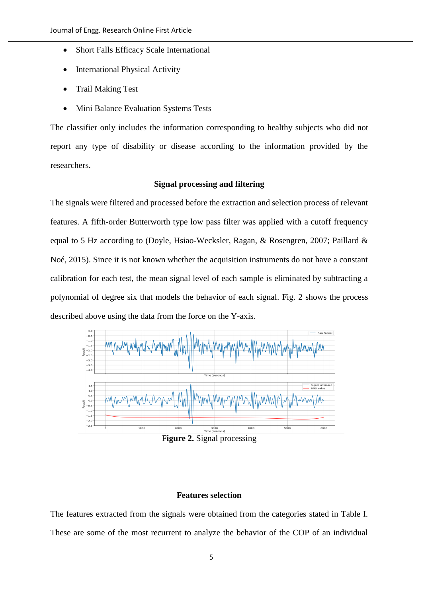- Short Falls Efficacy Scale International
- International Physical Activity
- Trail Making Test
- Mini Balance Evaluation Systems Tests

The classifier only includes the information corresponding to healthy subjects who did not report any type of disability or disease according to the information provided by the researchers.

# **Signal processing and filtering**

The signals were filtered and processed before the extraction and selection process of relevant features. A fifth-order Butterworth type low pass filter was applied with a cutoff frequency equal to 5 Hz according to (Doyle, Hsiao-Wecksler, Ragan, & Rosengren, 2007; Paillard & Noé, 2015). Since it is not known whether the acquisition instruments do not have a constant calibration for each test, the mean signal level of each sample is eliminated by subtracting a polynomial of degree six that models the behavior of each signal. Fig. 2 shows the process described above using the data from the force on the Y-axis.



F**igure 2.** Signal processing

### **Features selection**

The features extracted from the signals were obtained from the categories stated in Table I. These are some of the most recurrent to analyze the behavior of the COP of an individual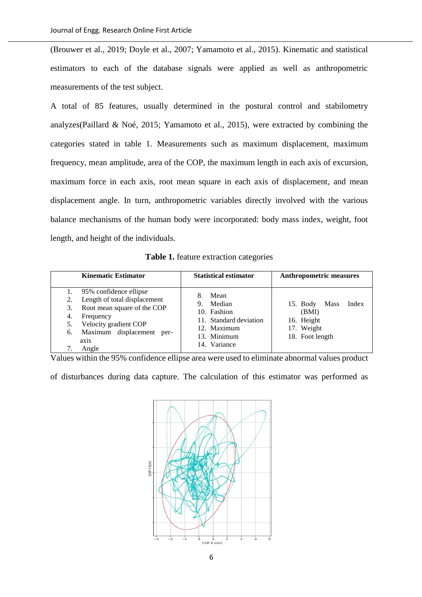(Brouwer et al., 2019; Doyle et al., 2007; Yamamoto et al., 2015). Kinematic and statistical estimators to each of the database signals were applied as well as anthropometric measurements of the test subject.

A total of 85 features, usually determined in the postural control and stabilometry analyzes(Paillard & Noé, 2015; Yamamoto et al., 2015), were extracted by combining the categories stated in table 1. Measurements such as maximum displacement, maximum frequency, mean amplitude, area of the COP, the maximum length in each axis of excursion, maximum force in each axis, root mean square in each axis of displacement, and mean displacement angle. In turn, anthropometric variables directly involved with the various balance mechanisms of the human body were incorporated: body mass index, weight, foot length, and height of the individuals.

**Table 1.** feature extraction categories

| <b>Kinematic Estimator</b>                                                                                                                                                                        | <b>Statistical estimator</b>                                                                                      | <b>Anthropometric measures</b>                                                             |
|---------------------------------------------------------------------------------------------------------------------------------------------------------------------------------------------------|-------------------------------------------------------------------------------------------------------------------|--------------------------------------------------------------------------------------------|
| 95% confidence ellipse<br>Length of total displacement<br>2.<br>Root mean square of the COP<br>3.<br>Frequency<br>4.<br>Velocity gradient COP<br>Maximum displacement per-<br>6.<br>axis<br>Angle | Mean<br>8.<br>Median<br>9.<br>10. Fashion<br>11. Standard deviation<br>12. Maximum<br>13. Minimum<br>14. Variance | Index<br><b>Mass</b><br>$15.$ Body<br>(BMI)<br>16. Height<br>17. Weight<br>18. Foot length |

Values within the 95% confidence ellipse area were used to eliminate abnormal values product

of disturbances during data capture. The calculation of this estimator was performed as

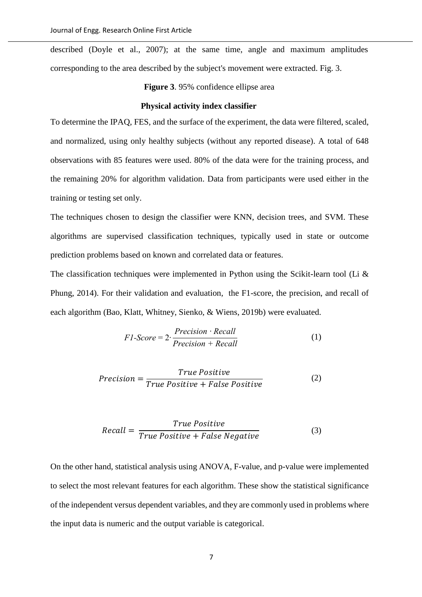described (Doyle et al., 2007); at the same time, angle and maximum amplitudes corresponding to the area described by the subject's movement were extracted. Fig. 3.

**Figure 3**. 95% confidence ellipse area

#### **Physical activity index classifier**

To determine the IPAQ, FES, and the surface of the experiment, the data were filtered, scaled, and normalized, using only healthy subjects (without any reported disease). A total of 648 observations with 85 features were used. 80% of the data were for the training process, and the remaining 20% for algorithm validation. Data from participants were used either in the training or testing set only.

The techniques chosen to design the classifier were KNN, decision trees, and SVM. These algorithms are supervised classification techniques, typically used in state or outcome prediction problems based on known and correlated data or features.

The classification techniques were implemented in Python using the Scikit-learn tool (Li & Phung, 2014). For their validation and evaluation, the F1-score, the precision, and recall of each algorithm (Bao, Klatt, Whitney, Sienko, & Wiens, 2019b) were evaluated.

$$
F1\text{-}Score = 2 \cdot \frac{Precision \cdot Recall}{Precision + Recall} \tag{1}
$$

$$
Precision = \frac{True \ Positive}{True \ Positive + False \ Positive} \tag{2}
$$

$$
Recall = \frac{True \ Positive}{True \ Positive + False \ Negative}
$$
 (3)

On the other hand, statistical analysis using ANOVA, F-value, and p-value were implemented to select the most relevant features for each algorithm. These show the statistical significance of the independent versus dependent variables, and they are commonly used in problems where the input data is numeric and the output variable is categorical.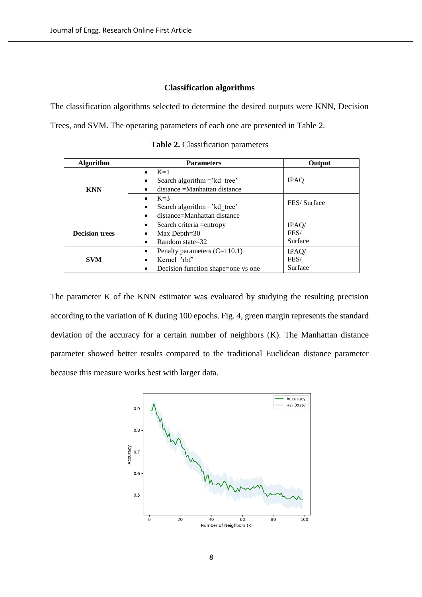#### **Classification algorithms**

The classification algorithms selected to determine the desired outputs were KNN, Decision Trees, and SVM. The operating parameters of each one are presented in Table 2.

| <b>Algorithm</b>      | <b>Parameters</b>                           | Output      |  |
|-----------------------|---------------------------------------------|-------------|--|
|                       | $K=1$<br>$\bullet$                          |             |  |
|                       | Search algorithm $=$ 'kd tree'<br>٠         | <b>IPAQ</b> |  |
| <b>KNN</b>            | distance = Manhattan distance               |             |  |
|                       | $K=3$<br>$\bullet$                          | FES/Surface |  |
|                       | Search algorithm $=$ 'kd tree'<br>$\bullet$ |             |  |
|                       | distance=Manhattan distance<br>$\bullet$    |             |  |
|                       | Search criteria = entropy<br>$\bullet$      | IPAQ/       |  |
| <b>Decision trees</b> | Max Depth= $30$                             | FES/        |  |
|                       | Random state=32<br>٠                        | Surface     |  |
|                       | Penalty parameters $(C=110.1)$              | IPAQ/       |  |
| <b>SVM</b>            | $K$ ernel= $r$ hf                           | FES/        |  |
|                       | Decision function shape=one vs one<br>٠     | Surface     |  |

**Table 2.** Classification parameters

The parameter K of the KNN estimator was evaluated by studying the resulting precision according to the variation of K during 100 epochs. Fig. 4, green margin represents the standard deviation of the accuracy for a certain number of neighbors (K). The Manhattan distance parameter showed better results compared to the traditional Euclidean distance parameter because this measure works best with larger data.

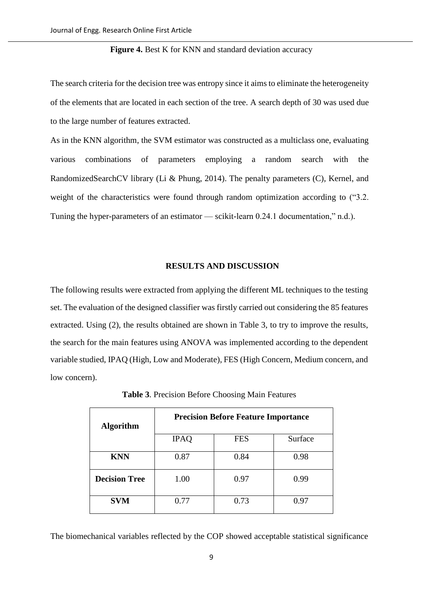### **Figure 4.** Best K for KNN and standard deviation accuracy

The search criteria for the decision tree was entropy since it aims to eliminate the heterogeneity of the elements that are located in each section of the tree. A search depth of 30 was used due to the large number of features extracted.

As in the KNN algorithm, the SVM estimator was constructed as a multiclass one, evaluating various combinations of parameters employing a random search with the RandomizedSearchCV library (Li & Phung, 2014). The penalty parameters (C), Kernel, and weight of the characteristics were found through random optimization according to ("3.2. Tuning the hyper-parameters of an estimator — scikit-learn 0.24.1 documentation," n.d.).

#### **RESULTS AND DISCUSSION**

The following results were extracted from applying the different ML techniques to the testing set. The evaluation of the designed classifier was firstly carried out considering the 85 features extracted. Using (2), the results obtained are shown in Table 3, to try to improve the results, the search for the main features using ANOVA was implemented according to the dependent variable studied, IPAQ (High, Low and Moderate), FES (High Concern, Medium concern, and low concern).

| <b>Algorithm</b>     | <b>Precision Before Feature Importance</b> |            |         |  |
|----------------------|--------------------------------------------|------------|---------|--|
|                      | <b>IPAQ</b>                                | <b>FES</b> | Surface |  |
| <b>KNN</b>           | 0.87                                       | 0.84       | 0.98    |  |
| <b>Decision Tree</b> | 1.00                                       | 0.97       | 0.99    |  |
| <b>SVM</b>           | 0.77                                       | 0.73       | 0.97    |  |

**Table 3**. Precision Before Choosing Main Features

The biomechanical variables reflected by the COP showed acceptable statistical significance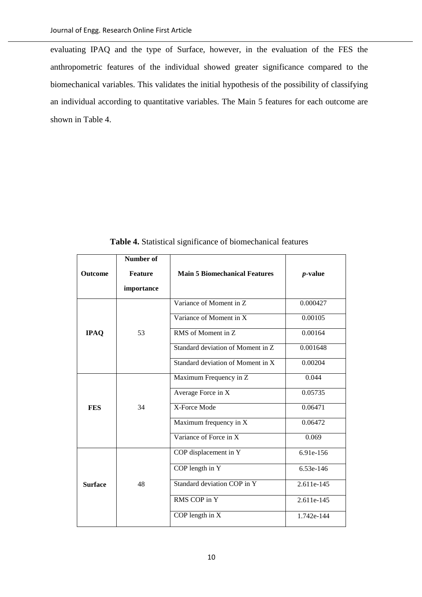evaluating IPAQ and the type of Surface, however, in the evaluation of the FES the anthropometric features of the individual showed greater significance compared to the biomechanical variables. This validates the initial hypothesis of the possibility of classifying an individual according to quantitative variables. The Main 5 features for each outcome are shown in Table 4.

|                                  | Number of  |                                      |            |  |
|----------------------------------|------------|--------------------------------------|------------|--|
| <b>Outcome</b><br><b>Feature</b> |            | <b>Main 5 Biomechanical Features</b> | $p$ -value |  |
|                                  | importance |                                      |            |  |
|                                  |            | Variance of Moment in Z              | 0.000427   |  |
|                                  |            | Variance of Moment in X              | 0.00105    |  |
| <b>IPAQ</b>                      | 53         | RMS of Moment in Z                   | 0.00164    |  |
|                                  |            | Standard deviation of Moment in Z    | 0.001648   |  |
|                                  |            | Standard deviation of Moment in X    | 0.00204    |  |
|                                  |            | Maximum Frequency in Z               | 0.044      |  |
|                                  |            | Average Force in $\overline{X}$      | 0.05735    |  |
| <b>FES</b>                       | 34         | X-Force Mode                         | 0.06471    |  |
|                                  |            | Maximum frequency in X               | 0.06472    |  |
|                                  |            | Variance of Force in X               | 0.069      |  |
|                                  |            | COP displacement in Y                | 6.91e-156  |  |
|                                  |            | COP length in Y                      | 6.53e-146  |  |
| <b>Surface</b>                   | 48         | Standard deviation COP in Y          | 2.611e-145 |  |
|                                  |            | RMS COP in Y                         | 2.611e-145 |  |
|                                  |            | COP length in X                      | 1.742e-144 |  |

**Table 4.** Statistical significance of biomechanical features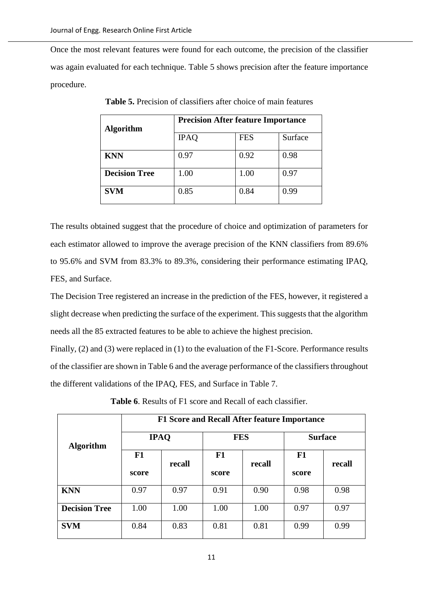Once the most relevant features were found for each outcome, the precision of the classifier was again evaluated for each technique. Table 5 shows precision after the feature importance procedure.

| <b>Algorithm</b>     | <b>Precision After feature Importance</b> |            |         |  |
|----------------------|-------------------------------------------|------------|---------|--|
|                      | <b>IPAQ</b>                               | <b>FES</b> | Surface |  |
| <b>KNN</b>           | 0.97                                      | 0.92       | 0.98    |  |
| <b>Decision Tree</b> | 1.00                                      | 1.00       | 0.97    |  |
| <b>SVM</b>           | 0.85                                      | 0.84       | 0.99    |  |

**Table 5.** Precision of classifiers after choice of main features

The results obtained suggest that the procedure of choice and optimization of parameters for each estimator allowed to improve the average precision of the KNN classifiers from 89.6% to 95.6% and SVM from 83.3% to 89.3%, considering their performance estimating IPAQ, FES, and Surface.

The Decision Tree registered an increase in the prediction of the FES, however, it registered a slight decrease when predicting the surface of the experiment. This suggests that the algorithm needs all the 85 extracted features to be able to achieve the highest precision.

Finally, (2) and (3) were replaced in (1) to the evaluation of the F1-Score. Performance results of the classifier are shown in Table 6 and the average performance of the classifiers throughout the different validations of the IPAQ, FES, and Surface in Table 7.

|                      | F1 Score and Recall After feature Importance |        |             |        |                |        |
|----------------------|----------------------------------------------|--------|-------------|--------|----------------|--------|
| <b>Algorithm</b>     | <b>IPAQ</b>                                  |        | <b>FES</b>  |        | <b>Surface</b> |        |
|                      | F1<br>score                                  | recall | F1<br>score | recall | F1<br>score    | recall |
| <b>KNN</b>           | 0.97                                         | 0.97   | 0.91        | 0.90   | 0.98           | 0.98   |
| <b>Decision Tree</b> | 1.00                                         | 1.00   | 1.00        | 1.00   | 0.97           | 0.97   |
| <b>SVM</b>           | 0.84                                         | 0.83   | 0.81        | 0.81   | 0.99           | 0.99   |

**Table 6**. Results of F1 score and Recall of each classifier.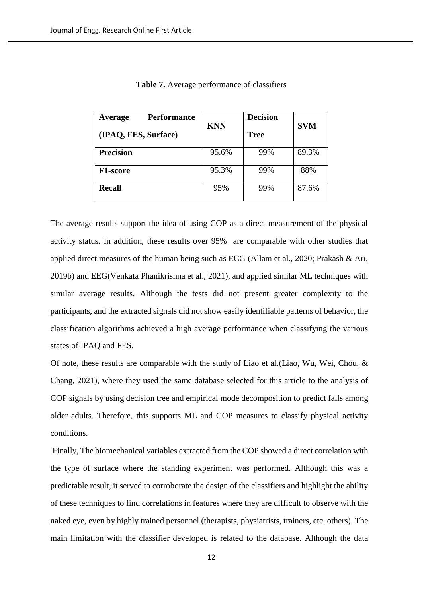| <b>Performance</b><br>Average<br>(IPAQ, FES, Surface) | <b>KNN</b> | <b>Decision</b><br><b>Tree</b> | <b>SVM</b> |
|-------------------------------------------------------|------------|--------------------------------|------------|
| <b>Precision</b>                                      | 95.6%      | 99%                            | 89.3%      |
| <b>F1-score</b>                                       | 95.3%      | 99%                            | 88%        |
| <b>Recall</b>                                         | 95%        | 99%                            | 87.6%      |

The average results support the idea of using COP as a direct measurement of the physical activity status. In addition, these results over 95% are comparable with other studies that applied direct measures of the human being such as ECG (Allam et al., 2020; Prakash & Ari, 2019b) and EEG(Venkata Phanikrishna et al., 2021), and applied similar ML techniques with similar average results. Although the tests did not present greater complexity to the participants, and the extracted signals did not show easily identifiable patterns of behavior, the classification algorithms achieved a high average performance when classifying the various states of IPAQ and FES.

Of note, these results are comparable with the study of Liao et al.(Liao, Wu, Wei, Chou, & Chang, 2021), where they used the same database selected for this article to the analysis of COP signals by using decision tree and empirical mode decomposition to predict falls among older adults. Therefore, this supports ML and COP measures to classify physical activity conditions.

Finally, The biomechanical variables extracted from the COP showed a direct correlation with the type of surface where the standing experiment was performed. Although this was a predictable result, it served to corroborate the design of the classifiers and highlight the ability of these techniques to find correlations in features where they are difficult to observe with the naked eye, even by highly trained personnel (therapists, physiatrists, trainers, etc. others). The main limitation with the classifier developed is related to the database. Although the data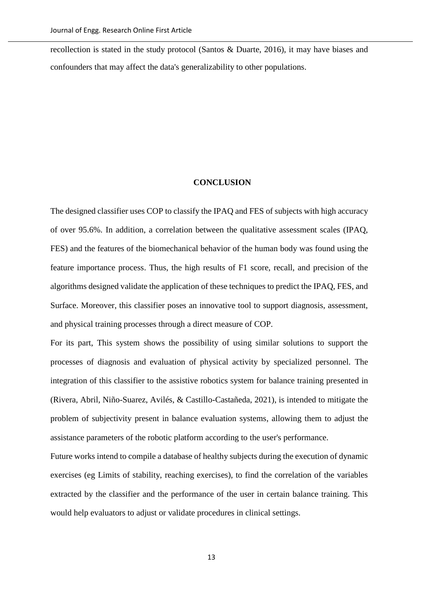recollection is stated in the study protocol (Santos & Duarte, 2016), it may have biases and confounders that may affect the data's generalizability to other populations.

#### **CONCLUSION**

The designed classifier uses COP to classify the IPAQ and FES of subjects with high accuracy of over 95.6%. In addition, a correlation between the qualitative assessment scales (IPAQ, FES) and the features of the biomechanical behavior of the human body was found using the feature importance process. Thus, the high results of F1 score, recall, and precision of the algorithms designed validate the application of these techniques to predict the IPAQ, FES, and Surface. Moreover, this classifier poses an innovative tool to support diagnosis, assessment, and physical training processes through a direct measure of COP.

For its part, This system shows the possibility of using similar solutions to support the processes of diagnosis and evaluation of physical activity by specialized personnel. The integration of this classifier to the assistive robotics system for balance training presented in (Rivera, Abril, Niño-Suarez, Avilés, & Castillo-Castañeda, 2021), is intended to mitigate the problem of subjectivity present in balance evaluation systems, allowing them to adjust the assistance parameters of the robotic platform according to the user's performance.

Future works intend to compile a database of healthy subjects during the execution of dynamic exercises (eg Limits of stability, reaching exercises), to find the correlation of the variables extracted by the classifier and the performance of the user in certain balance training. This would help evaluators to adjust or validate procedures in clinical settings.

13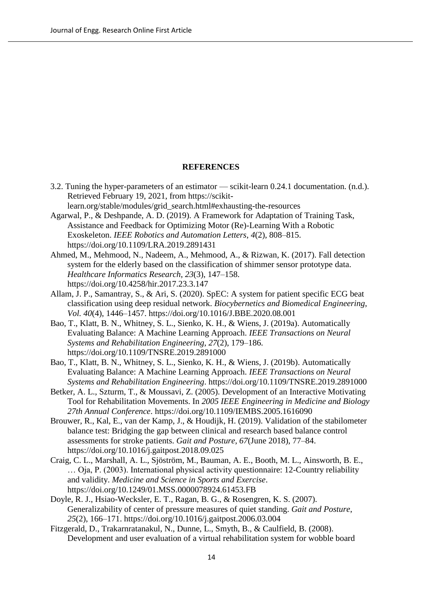## **REFERENCES**

- 3.2. Tuning the hyper-parameters of an estimator scikit-learn 0.24.1 documentation. (n.d.). Retrieved February 19, 2021, from https://scikitlearn.org/stable/modules/grid\_search.html#exhausting-the-resources
- Agarwal, P., & Deshpande, A. D. (2019). A Framework for Adaptation of Training Task, Assistance and Feedback for Optimizing Motor (Re)-Learning With a Robotic Exoskeleton. *IEEE Robotics and Automation Letters*, *4*(2), 808–815. https://doi.org/10.1109/LRA.2019.2891431
- Ahmed, M., Mehmood, N., Nadeem, A., Mehmood, A., & Rizwan, K. (2017). Fall detection system for the elderly based on the classification of shimmer sensor prototype data. *Healthcare Informatics Research*, *23*(3), 147–158. https://doi.org/10.4258/hir.2017.23.3.147
- Allam, J. P., Samantray, S., & Ari, S. (2020). SpEC: A system for patient specific ECG beat classification using deep residual network. *Biocybernetics and Biomedical Engineering*, *Vol. 40*(4), 1446–1457. https://doi.org/10.1016/J.BBE.2020.08.001
- Bao, T., Klatt, B. N., Whitney, S. L., Sienko, K. H., & Wiens, J. (2019a). Automatically Evaluating Balance: A Machine Learning Approach. *IEEE Transactions on Neural Systems and Rehabilitation Engineering*, *27*(2), 179–186. https://doi.org/10.1109/TNSRE.2019.2891000
- Bao, T., Klatt, B. N., Whitney, S. L., Sienko, K. H., & Wiens, J. (2019b). Automatically Evaluating Balance: A Machine Learning Approach. *IEEE Transactions on Neural Systems and Rehabilitation Engineering*. https://doi.org/10.1109/TNSRE.2019.2891000
- Betker, A. L., Szturm, T., & Moussavi, Z. (2005). Development of an Interactive Motivating Tool for Rehabilitation Movements. In *2005 IEEE Engineering in Medicine and Biology 27th Annual Conference*. https://doi.org/10.1109/IEMBS.2005.1616090
- Brouwer, R., Kal, E., van der Kamp, J., & Houdijk, H. (2019). Validation of the stabilometer balance test: Bridging the gap between clinical and research based balance control assessments for stroke patients. *Gait and Posture*, *67*(June 2018), 77–84. https://doi.org/10.1016/j.gaitpost.2018.09.025
- Craig, C. L., Marshall, A. L., Sjöström, M., Bauman, A. E., Booth, M. L., Ainsworth, B. E., … Oja, P. (2003). International physical activity questionnaire: 12-Country reliability and validity. *Medicine and Science in Sports and Exercise*. https://doi.org/10.1249/01.MSS.0000078924.61453.FB
- Doyle, R. J., Hsiao-Wecksler, E. T., Ragan, B. G., & Rosengren, K. S. (2007). Generalizability of center of pressure measures of quiet standing. *Gait and Posture*, *25*(2), 166–171. https://doi.org/10.1016/j.gaitpost.2006.03.004
- Fitzgerald, D., Trakarnratanakul, N., Dunne, L., Smyth, B., & Caulfield, B. (2008). Development and user evaluation of a virtual rehabilitation system for wobble board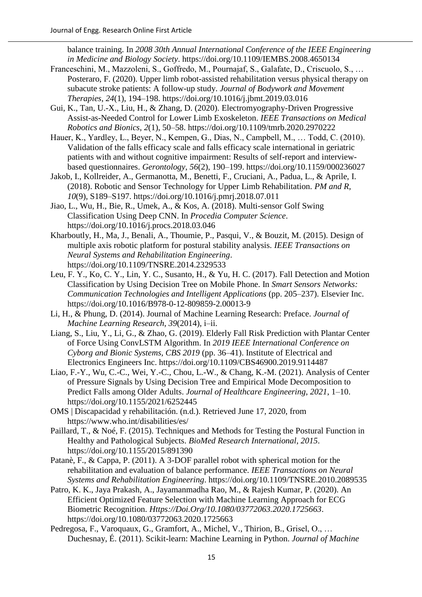balance training. In *2008 30th Annual International Conference of the IEEE Engineering in Medicine and Biology Society*. https://doi.org/10.1109/IEMBS.2008.4650134

- Franceschini, M., Mazzoleni, S., Goffredo, M., Pournajaf, S., Galafate, D., Criscuolo, S., … Posteraro, F. (2020). Upper limb robot-assisted rehabilitation versus physical therapy on subacute stroke patients: A follow-up study. *Journal of Bodywork and Movement Therapies*, *24*(1), 194–198. https://doi.org/10.1016/j.jbmt.2019.03.016
- Gui, K., Tan, U.-X., Liu, H., & Zhang, D. (2020). Electromyography-Driven Progressive Assist-as-Needed Control for Lower Limb Exoskeleton. *IEEE Transactions on Medical Robotics and Bionics*, *2*(1), 50–58. https://doi.org/10.1109/tmrb.2020.2970222
- Hauer, K., Yardley, L., Beyer, N., Kempen, G., Dias, N., Campbell, M., … Todd, C. (2010). Validation of the falls efficacy scale and falls efficacy scale international in geriatric patients with and without cognitive impairment: Results of self-report and interviewbased questionnaires. *Gerontology*, *56*(2), 190–199. https://doi.org/10.1159/000236027
- Jakob, I., Kollreider, A., Germanotta, M., Benetti, F., Cruciani, A., Padua, L., & Aprile, I. (2018). Robotic and Sensor Technology for Upper Limb Rehabilitation. *PM and R*, *10*(9), S189–S197. https://doi.org/10.1016/j.pmrj.2018.07.011
- Jiao, L., Wu, H., Bie, R., Umek, A., & Kos, A. (2018). Multi-sensor Golf Swing Classification Using Deep CNN. In *Procedia Computer Science*. https://doi.org/10.1016/j.procs.2018.03.046
- Kharboutly, H., Ma, J., Benali, A., Thoumie, P., Pasqui, V., & Bouzit, M. (2015). Design of multiple axis robotic platform for postural stability analysis. *IEEE Transactions on Neural Systems and Rehabilitation Engineering*. https://doi.org/10.1109/TNSRE.2014.2329533
- Leu, F. Y., Ko, C. Y., Lin, Y. C., Susanto, H., & Yu, H. C. (2017). Fall Detection and Motion Classification by Using Decision Tree on Mobile Phone. In *Smart Sensors Networks: Communication Technologies and Intelligent Applications* (pp. 205–237). Elsevier Inc. https://doi.org/10.1016/B978-0-12-809859-2.00013-9
- Li, H., & Phung, D. (2014). Journal of Machine Learning Research: Preface. *Journal of Machine Learning Research*, *39*(2014), i–ii.
- Liang, S., Liu, Y., Li, G., & Zhao, G. (2019). Elderly Fall Risk Prediction with Plantar Center of Force Using ConvLSTM Algorithm. In *2019 IEEE International Conference on Cyborg and Bionic Systems, CBS 2019* (pp. 36–41). Institute of Electrical and Electronics Engineers Inc. https://doi.org/10.1109/CBS46900.2019.9114487
- Liao, F.-Y., Wu, C.-C., Wei, Y.-C., Chou, L.-W., & Chang, K.-M. (2021). Analysis of Center of Pressure Signals by Using Decision Tree and Empirical Mode Decomposition to Predict Falls among Older Adults. *Journal of Healthcare Engineering*, *2021*, 1–10. https://doi.org/10.1155/2021/6252445
- OMS | Discapacidad y rehabilitación. (n.d.). Retrieved June 17, 2020, from https://www.who.int/disabilities/es/
- Paillard, T., & Noé, F. (2015). Techniques and Methods for Testing the Postural Function in Healthy and Pathological Subjects. *BioMed Research International*, *2015*. https://doi.org/10.1155/2015/891390
- Patanè, F., & Cappa, P. (2011). A 3-DOF parallel robot with spherical motion for the rehabilitation and evaluation of balance performance. *IEEE Transactions on Neural Systems and Rehabilitation Engineering*. https://doi.org/10.1109/TNSRE.2010.2089535
- Patro, K. K., Jaya Prakash, A., Jayamanmadha Rao, M., & Rajesh Kumar, P. (2020). An Efficient Optimized Feature Selection with Machine Learning Approach for ECG Biometric Recognition. *Https://Doi.Org/10.1080/03772063.2020.1725663*. https://doi.org/10.1080/03772063.2020.1725663
- Pedregosa, F., Varoquaux, G., Gramfort, A., Michel, V., Thirion, B., Grisel, O., … Duchesnay, É. (2011). Scikit-learn: Machine Learning in Python. *Journal of Machine*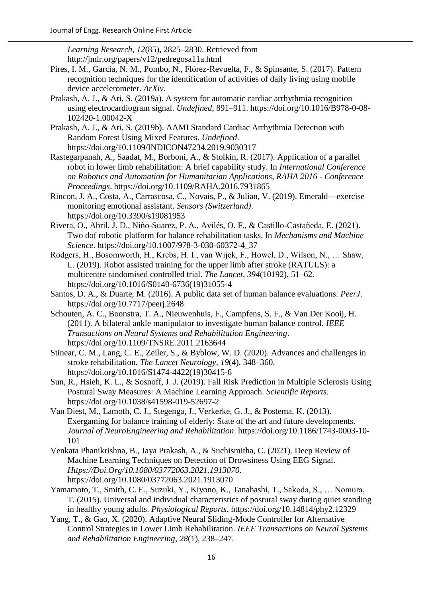*Learning Research*, *12*(85), 2825–2830. Retrieved from http://jmlr.org/papers/v12/pedregosa11a.html

- Pires, I. M., Garcia, N. M., Pombo, N., Flórez-Revuelta, F., & Spinsante, S. (2017). Pattern recognition techniques for the identification of activities of daily living using mobile device accelerometer. *ArXiv*.
- Prakash, A. J., & Ari, S. (2019a). A system for automatic cardiac arrhythmia recognition using electrocardiogram signal. *Undefined*, 891–911. https://doi.org/10.1016/B978-0-08- 102420-1.00042-X
- Prakash, A. J., & Ari, S. (2019b). AAMI Standard Cardiac Arrhythmia Detection with Random Forest Using Mixed Features. *Undefined*. https://doi.org/10.1109/INDICON47234.2019.9030317
- Rastegarpanah, A., Saadat, M., Borboni, A., & Stolkin, R. (2017). Application of a parallel robot in lower limb rehabilitation: A brief capability study. In *International Conference on Robotics and Automation for Humanitarian Applications, RAHA 2016 - Conference Proceedings*. https://doi.org/10.1109/RAHA.2016.7931865
- Rincon, J. A., Costa, A., Carrascosa, C., Novais, P., & Julian, V. (2019). Emerald—exercise monitoring emotional assistant. *Sensors (Switzerland)*. https://doi.org/10.3390/s19081953
- Rivera, O., Abril, J. D., Niño-Suarez, P. A., Avilés, O. F., & Castillo-Castañeda, E. (2021). Two dof robotic platform for balance rehabilitation tasks. In *Mechanisms and Machine Science*. https://doi.org/10.1007/978-3-030-60372-4\_37
- Rodgers, H., Bosomworth, H., Krebs, H. I., van Wijck, F., Howel, D., Wilson, N., … Shaw, L. (2019). Robot assisted training for the upper limb after stroke (RATULS): a multicentre randomised controlled trial. *The Lancet*, *394*(10192), 51–62. https://doi.org/10.1016/S0140-6736(19)31055-4
- Santos, D. A., & Duarte, M. (2016). A public data set of human balance evaluations. *PeerJ*. https://doi.org/10.7717/peerj.2648
- Schouten, A. C., Boonstra, T. A., Nieuwenhuis, F., Campfens, S. F., & Van Der Kooij, H. (2011). A bilateral ankle manipulator to investigate human balance control. *IEEE Transactions on Neural Systems and Rehabilitation Engineering*. https://doi.org/10.1109/TNSRE.2011.2163644
- Stinear, C. M., Lang, C. E., Zeiler, S., & Byblow, W. D. (2020). Advances and challenges in stroke rehabilitation. *The Lancet Neurology*, *19*(4), 348–360. https://doi.org/10.1016/S1474-4422(19)30415-6
- Sun, R., Hsieh, K. L., & Sosnoff, J. J. (2019). Fall Risk Prediction in Multiple Sclerosis Using Postural Sway Measures: A Machine Learning Approach. *Scientific Reports*. https://doi.org/10.1038/s41598-019-52697-2
- Van Diest, M., Lamoth, C. J., Stegenga, J., Verkerke, G. J., & Postema, K. (2013). Exergaming for balance training of elderly: State of the art and future developments. *Journal of NeuroEngineering and Rehabilitation*. https://doi.org/10.1186/1743-0003-10- 101
- Venkata Phanikrishna, B., Jaya Prakash, A., & Suchismitha, C. (2021). Deep Review of Machine Learning Techniques on Detection of Drowsiness Using EEG Signal. *Https://Doi.Org/10.1080/03772063.2021.1913070*. https://doi.org/10.1080/03772063.2021.1913070
- Yamamoto, T., Smith, C. E., Suzuki, Y., Kiyono, K., Tanahashi, T., Sakoda, S., … Nomura, T. (2015). Universal and individual characteristics of postural sway during quiet standing in healthy young adults. *Physiological Reports*. https://doi.org/10.14814/phy2.12329
- Yang, T., & Gao, X. (2020). Adaptive Neural Sliding-Mode Controller for Alternative Control Strategies in Lower Limb Rehabilitation. *IEEE Transactions on Neural Systems and Rehabilitation Engineering*, *28*(1), 238–247.